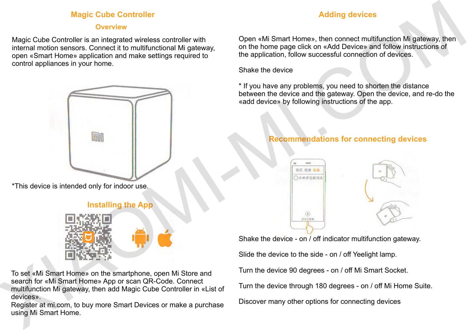## **Magic Cube Controller**

#### **Overview**

Magic Cube Controller is an integrated wireless controller with internal motion sensors. Connect it to multifunctional Mi gateway, open «Smart Home» application and make settings required to control appliances in your home.



\*This device is intended only for indoor use.

# **Installing the App**



To set «Mi Smart Home» on the smartphone, open Mi Store and search for «Mi Smart Home» App or scan QR-Code. Connect multifunction Mi gateway, then add Magic Cube Controller in «List of devices».

Register at mi.com, to buy more Smart Devices or make a purchase using Mi Smart Home.

## **Adding devices**

Open «Mi Smart Home», then connect multifunction Mi gateway, then on the home page click on «Add Device» and follow instructions of the application, follow successful connection of devices.

#### Shake the device

\* If you have any problems, you need to shorten the distance between the device and the gateway. Open the device, and re-do the «add device» by following instructions of the app.

# **Recommendations for connecting devices**





Shake the device - on / off indicator multifunction gateway. Slide the device to the side - on / off Yeelight lamp.

Turn the device 90 degrees - on / off Mi Smart Socket.

Turn the device through 180 degrees - on / off Mi Home Suite.

Discover many other options for connecting devices